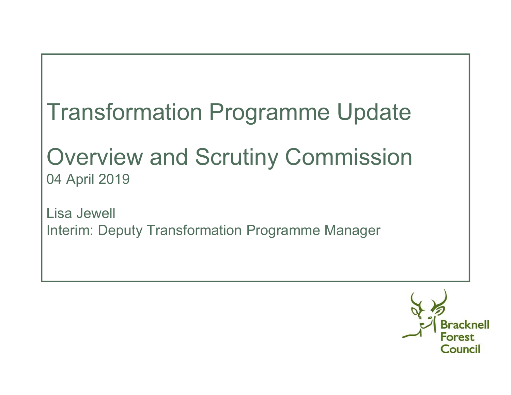# Transformation Programme Update

## Overview and Scrutiny Commission04 April 2019

Lisa JewellInterim: Deputy Transformation Programme Manager

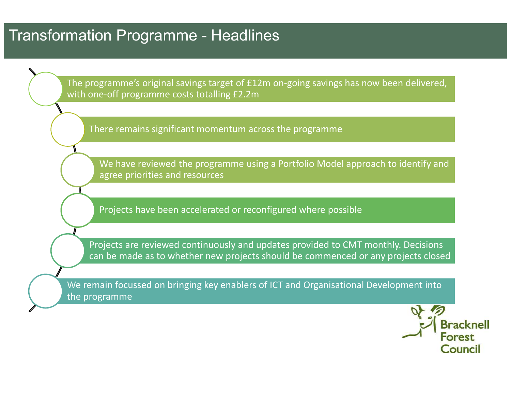### Transformation Programme - Headlines

The programme's original savings target of £12m on-going savings has now been delivered, with one-off programme costs totalling £2.2m

There remains significant momentum across the programme

We have reviewed the programme using a Portfolio Model approach to identify and agree priorities and resources

Projects have been accelerated or reconfigured where possible

Projects are reviewed continuously and updates provided to CMT monthly. Decisions can be made as to whether new projects should be commenced or any projects closed

We remain focussed on bringing key enablers of ICT and Organisational Development into the programme

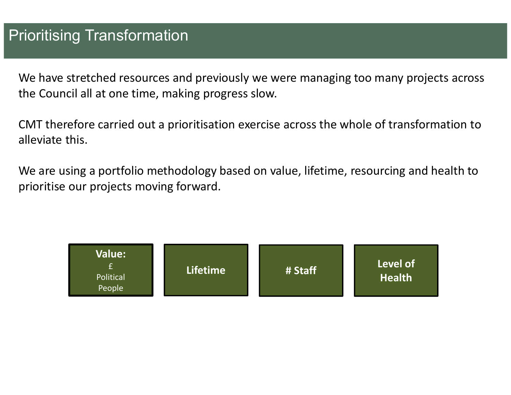We have stretched resources and previously we were managing too many projects across the Council all at one time, making progress slow.

CMT therefore carried out a prioritisation exercise across the whole of transformation to alleviate this.

We are using a portfolio methodology based on value, lifetime, resourcing and health to prioritise our projects moving forward.

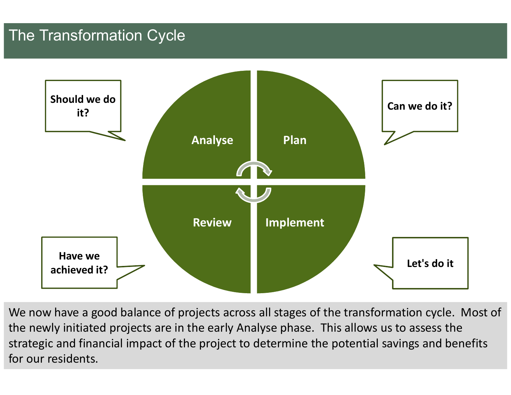### The Transformation Cycle



We now have a good balance of projects across all stages of the transformation cycle. Most of the newly initiated projects are in the early Analyse phase. This allows us to assess the strategic and financial impact of the project to determine the potential savings and benefits for our residents.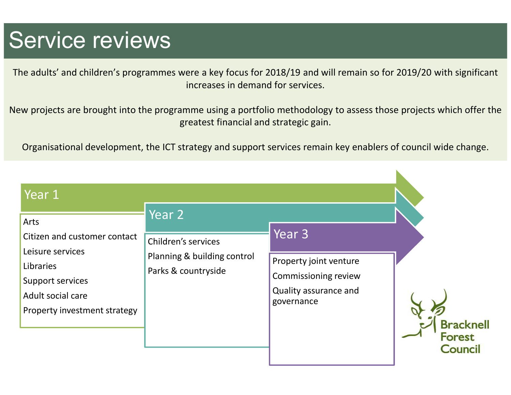## Service reviews

The adults' and children's programmes were a key focus for 2018/19 and will remain so for 2019/20 with significant increases in demand for services.

New projects are brought into the programme using a portfolio methodology to assess those projects which offer the greatest financial and strategic gain.

Organisational development, the ICT strategy and support services remain key enablers of council wide change.

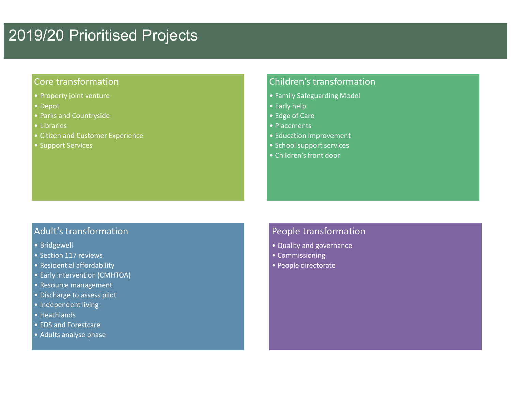### 2019/20 Prioritised Projects

#### Core transformation

- Property joint venture
- Depot
- Parks and Countryside
- Libraries
- Citizen and Customer Experience
- Support Services

#### Children's transformation

- Family Safeguarding Model
- Early help
- Edge of Care
- Placements
- Education improvement
- School support services
- Children's front door

#### Adult's transformation

- Bridgewell
- Section 117 reviews
- Residential affordability
- Early intervention (CMHTOA)
- Resource management
- Discharge to assess pilot
- Independent living
- Heathlands
- EDS and Forestcare
- Adults analyse phase

#### People transformation

- Quality and governance
- Commissioning
- People directorate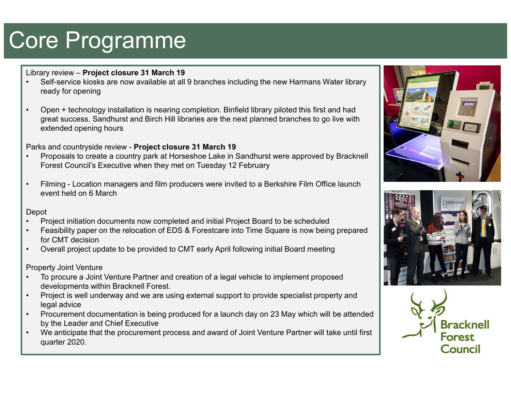# Core Programme

Library review – **Project closure 31 March 19**

- • Self-service kiosks are now available at all 9 branches including the new Harmans Water library ready for opening
- • Open + technology installation is nearing completion. Binfield library piloted this first and had great success. Sandhurst and Birch Hill libraries are the next planned branches to go live with extended opening hours

Parks and countryside review - **Project closure 31 March 19**

- Proposals to create a country park at Horseshoe Lake in Sandhurst were approved by Bracknell<br>Fareat Caunaille Executive when they met an Tuesday 42 Eshmeny •Forest Council's Executive when they met on Tuesday 12 February
- • Filming - Location managers and film producers were invited to a Berkshire Film Office launch event held on 6 March

Depot

- Project initiation documents now completed and initial Project Board to be scheduled<br>Feasibility repays on the releasting of FBC 8. Fernations into Time Causes is now being •
- • Feasibility paper on the relocation of EDS & Forestcare into Time Square is now being prepared for CMT decision
- Overall project update to be provided to CMT early April following initial Board meeting •

Property Joint Venture

- To procure a Joint Venture Partner and creation of a legal vehicle to implement proposed •developments within Bracknell Forest.
- Project is well underway and we are using external support to provide specialist property and •legal advice
- Procurement documentation is being produced for a launch day on 23 May which will be attended<br>hydrogland Chief Executive •by the Leader and Chief Executive
- We anticipate that the procurement process and award of Joint Venture Partner will take until first<br>messes and award of Joint Venture Partner will take until first •quarter 2020.





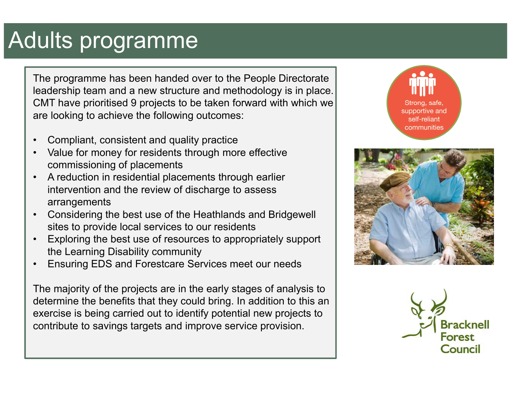## Adults programme

The programme has been handed over to the People Directorate leadership team and a new structure and methodology is in place. CMT have prioritised 9 projects to be taken forward with which we are looking to achieve the following outcomes:

- •Compliant, consistent and quality practice
- • Value for money for residents through more effective commissioning of placements
- A reduction in residential placements through earlier<br>interception and the review of discharge to access. •intervention and the review of discharge to assess arrangements
- • Considering the best use of the Heathlands and Bridgewell sites to provide local services to our residents
- • Exploring the best use of resources to appropriately support the Learning Disability community
- •Ensuring EDS and Forestcare Services meet our needs

The majority of the projects are in the early stages of analysis to determine the benefits that they could bring. In addition to this an exercise is being carried out to identify potential new projects to contribute to savings targets and improve service provision.





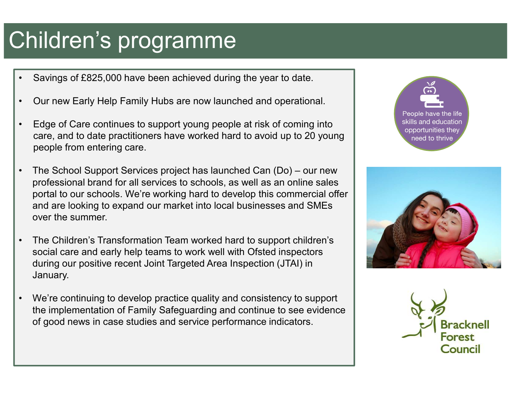# Children's programme

- •Savings of £825,000 have been achieved during the year to date.
- •Our new Early Help Family Hubs are now launched and operational.
- • Edge of Care continues to support young people at risk of coming into care, and to date practitioners have worked hard to avoid up to 20 young people from entering care.
- • The School Support Services project has launched Can (Do) – our new professional brand for all services to schools, as well as an online sales portal to our schools. We're working hard to develop this commercial offer and are looking to expand our market into local businesses and SMEs over the summer.
- • The Children's Transformation Team worked hard to support children's social care and early help teams to work well with Ofsted inspectors during our positive recent Joint Targeted Area Inspection (JTAI) in January.
- • We're continuing to develop practice quality and consistency to support the implementation of Family Safeguarding and continue to see evidence of good news in case studies and service performance indicators.





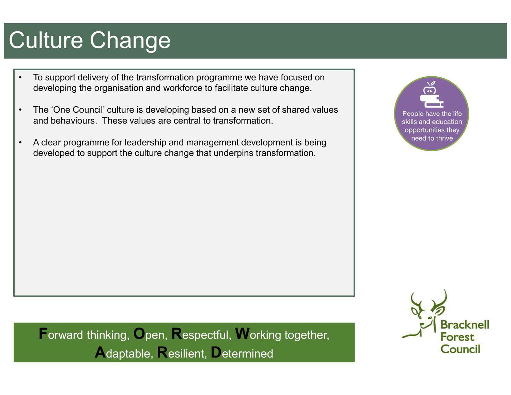# Culture Change

- • To support delivery of the transformation programme we have focused on developing the organisation and workforce to facilitate culture change.
- • The 'One Council' culture is developing based on a new set of shared values and behaviours. These values are central to transformation.
- • A clear programme for leadership and management development is being developed to support the culture change that underpins transformation.